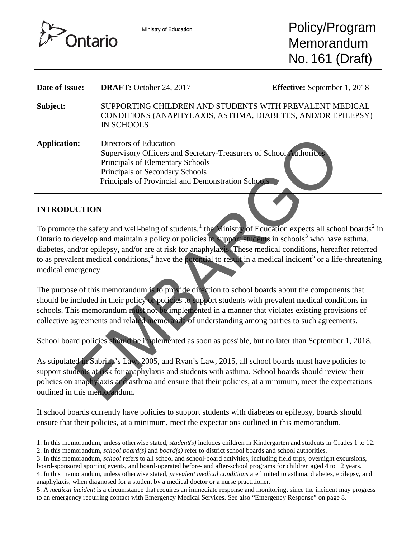

| Date of Issue:               | <b>DRAFT:</b> October 24, 2017                                                                                                                                                                                                                                                                                                                                                                                                                                                                                               | <b>Effective:</b> September 1, 2018 |
|------------------------------|------------------------------------------------------------------------------------------------------------------------------------------------------------------------------------------------------------------------------------------------------------------------------------------------------------------------------------------------------------------------------------------------------------------------------------------------------------------------------------------------------------------------------|-------------------------------------|
| Subject:                     | SUPPORTING CHILDREN AND STUDENTS WITH PREVALENT MEDICAL<br>CONDITIONS (ANAPHYLAXIS, ASTHMA, DIABETES, AND/OR EPILEPSY)<br><b>IN SCHOOLS</b>                                                                                                                                                                                                                                                                                                                                                                                  |                                     |
| <b>Application:</b>          | Directors of Education<br>Supervisory Officers and Secretary-Treasurers of School Authorities<br>Principals of Elementary Schools<br>Principals of Secondary Schools<br>Principals of Provincial and Demonstration Schools                                                                                                                                                                                                                                                                                                   |                                     |
| <b>INTRODUCTION</b>          |                                                                                                                                                                                                                                                                                                                                                                                                                                                                                                                              |                                     |
| medical emergency.           | To promote the safety and well-being of students, $\frac{1}{2}$ the Ministry of Education expects all school boards <sup>2</sup> is<br>Ontario to develop and maintain a policy or policies to support students in schools <sup>3</sup> who have asthma,<br>diabetes, and/or epilepsy, and/or are at risk for anaphylaxis. These medical conditions, hereafter referred<br>to as prevalent medical conditions, $4$ have the potential to result in a medical incident <sup>5</sup> or a life-threatenin                      |                                     |
|                              | The purpose of this memorandum is to provide direction to school boards about the components that<br>should be included in their policy of policies to support students with prevalent medical conditions in<br>schools. This memorandum must not be implemented in a manner that violates existing provisions of<br>collective agreements and related memoranda of understanding among parties to such agreements.<br>School board policies should be implemented as soon as possible, but no later than September 1, 2018. |                                     |
| outlined in this memorandum. | As stipulated in Sabrina's Law, 2005, and Ryan's Law, 2015, all school boards must have policies to<br>support students at risk for anaphylaxis and students with asthma. School boards should review their<br>policies on anaphylaxis and asthma and ensure that their policies, at a minimum, meet the expectations                                                                                                                                                                                                        |                                     |

#### **INTRODUCTION**

If school boards currently have policies to support students with diabetes or epilepsy, boards should ensure that their policies, at a minimum, meet the expectations outlined in this memorandum.

- <span id="page-0-2"></span>3. In this memorandum, *school* refers to all school and school-board activities, including field trips, overnight excursions, board-sponsored sporting events, and board-operated before- and after-school programs for children aged 4 to 12 years.
- <span id="page-0-3"></span>4. In this memorandum, unless otherwise stated, *prevalent medical conditions* are limited to asthma, diabetes, epilepsy, and anaphylaxis, when diagnosed for a student by a medical doctor or a nurse practitioner.
- <span id="page-0-4"></span>5. A *medical incident* is a circumstance that requires an immediate response and monitoring, since the incident may progress to an emergency requiring contact with Emergency Medical Services. See also "Emergency Response" on page 8.

<span id="page-0-0"></span><sup>1.</sup> In this memorandum, unless otherwise stated, *student(s)* includes children in Kindergarten and students in Grades 1 to 12.  $\overline{a}$ 

<span id="page-0-1"></span><sup>2.</sup> In this memorandum, *school board(s)* and *board(s)* refer to district school boards and school authorities.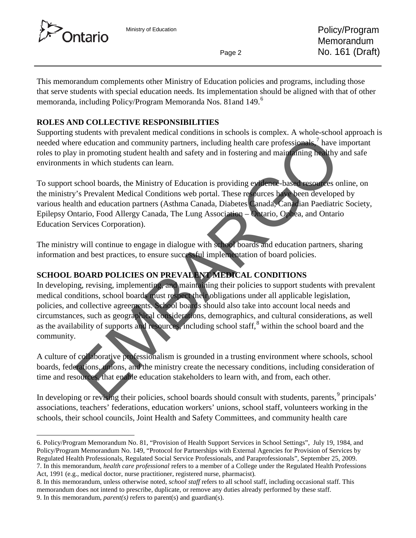



This memorandum complements other Ministry of Education policies and programs, including those that serve students with special education needs. Its implementation should be aligned with that of other memoranda, including Policy/Program Memoranda Nos. 81and 149.[6](#page-1-0)

# **ROLES AND COLLECTIVE RESPONSIBILITIES**

Supporting students with prevalent medical conditions in schools is complex. A whole-school approach is needed where education and community partners, including health care professionals,<sup>7</sup> have important roles to play in promoting student health and safety and in fostering and maintaining healthy and safe environments in which students can learn.

To support school boards, the Ministry of Education is providing evidence-based resources online, on the ministry's Prevalent Medical Conditions web portal. These resources have been developed by various health and education partners (Asthma Canada, Diabetes Canada, Canadian Paediatric Society, Epilepsy Ontario, Food Allergy Canada, The Lung Association – Ontario, Ophea, and Ontario Education Services Corporation).

The ministry will continue to engage in dialogue with school boards and education partners, sharing information and best practices, to ensure successful implementation of board policies.

# **SCHOOL BOARD POLICIES ON PREVALENT MEDICAL CONDITIONS**

In developing, revising, implementing, and maintaining their policies to support students with prevalent medical conditions, school boards must respect their obligations under all applicable legislation, policies, and collective agreements. School boards should also take into account local needs and circumstances, such as geographical considerations, demographics, and cultural considerations, as well as the availability of supports and resources, including school staff,<sup>8</sup> within the school board and the community. stated with persons through the method is a solition of beatlest and the state of the state of the state of the state of the state of the state of the state of the state of the state of the state of the state of the state

A culture of collaborative professionalism is grounded in a trusting environment where schools, school boards, federations, unions, and the ministry create the necessary conditions, including consideration of time and resources, that enable education stakeholders to learn with, and from, each other.

In developing or revising their policies, school boards should consult with students, parents, <sup>9</sup> principals' associations, teachers' federations, education workers' unions, school staff, volunteers working in the schools, their school councils, Joint Health and Safety Committees, and community health care

<span id="page-1-0"></span>6. Policy/Program Memorandum No. 81, "Provision of Health Support Services in School Settings", July 19, 1984, and Policy/Program Memorandum No. 149, "Protocol for Partnerships with External Agencies for Provision of Services by Regulated Health Professionals, Regulated Social Service Professionals, and Paraprofessionals", September 25, 2009. 7. In this memorandum, *health care professional* refers to a member of a College under the Regulated Health Professions Act, 1991 (e.g., medical doctor, nurse practitioner, registered nurse, pharmacist)*.*  $\overline{a}$ 

<span id="page-1-3"></span><span id="page-1-2"></span><span id="page-1-1"></span><sup>8.</sup> In this memorandum, unless otherwise noted, *school staff* refers to all school staff, including occasional staff. This memorandum does not intend to prescribe, duplicate, or remove any duties already performed by these staff. 9. In this memorandum, *parent(s)* refers to parent(s) and guardian(s).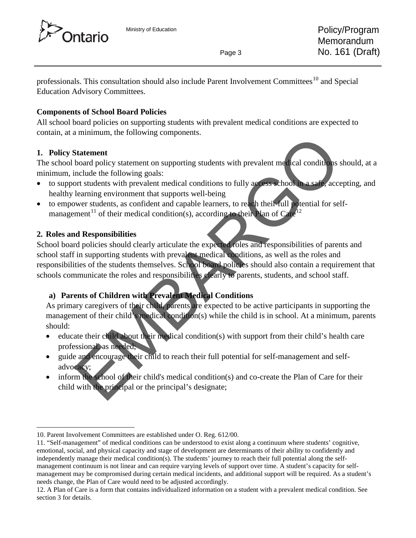



professionals. This consultation should also include Parent Involvement Committees<sup>[10](#page-2-0)</sup> and Special Education Advisory Committees.

# **Components of School Board Policies**

All school board policies on supporting students with prevalent medical conditions are expected to contain, at a minimum, the following components.

#### **1. Policy Statement**

The school board policy statement on supporting students with prevalent medical conditions should, at a minimum, include the following goals:

- to support students with prevalent medical conditions to fully access school in a safe, accepting, and healthy learning environment that supports well-being
- to empower students, as confident and capable learners, to reach their full potential for selfmanagement<sup>11</sup> of their medical condition(s), according to their Plan of  $Care^{12}$

# **2. Roles and Responsibilities**

School board policies should clearly articulate the expected roles and responsibilities of parents and school staff in supporting students with prevalent medical conditions, as well as the roles and responsibilities of the students themselves. School board policies should also contain a requirement that schools communicate the roles and responsibilities clearly to parents, students, and school staff. Final<br>manufacture of the context of the properties and conditions of the<br>mediator of the following scales:<br>the neutral technology statement on supporting students with prevalent medical conditions<br>manufacture students wit

# **a) Parents of Children with Prevalent Medical Conditions**

As primary caregivers of their child, parents are expected to be active participants in supporting the management of their child's medical condition(s) while the child is in school. At a minimum, parents should:

- educate their child about their medical condition(s) with support from their child's health care professional, as needed;
- guide and encourage their child to reach their full potential for self-management and selfadvocacy;
- inform the school of their child's medical condition(s) and co-create the Plan of Care for their child with the principal or the principal's designate;

<span id="page-2-0"></span><sup>10.</sup> Parent Involvement Committees are established under O. Reg. 612/00.  $\overline{a}$ 

<span id="page-2-1"></span><sup>11. &</sup>quot;Self-management" of medical conditions can be understood to exist along a continuum where students' cognitive, emotional, social, and physical capacity and stage of development are determinants of their ability to confidently and independently manage their medical condition(s). The students' journey to reach their full potential along the selfmanagement continuum is not linear and can require varying levels of support over time. A student's capacity for selfmanagement may be compromised during certain medical incidents, and additional support will be required. As a student's needs change, the Plan of Care would need to be adjusted accordingly.

<span id="page-2-2"></span><sup>12.</sup> A Plan of Care is a form that contains individualized information on a student with a prevalent medical condition. See section 3 for details.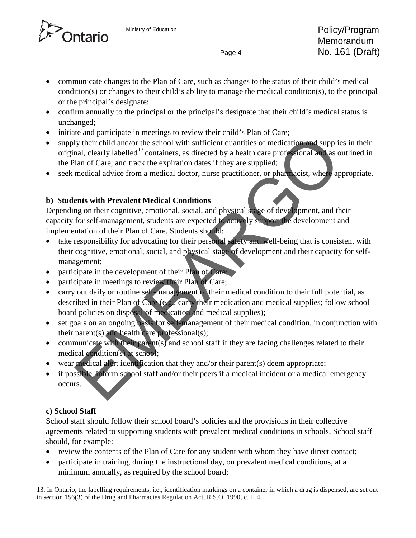

- communicate changes to the Plan of Care, such as changes to the status of their child's medical condition(s) or changes to their child's ability to manage the medical condition(s), to the principal or the principal's designate;
- confirm annually to the principal or the principal's designate that their child's medical status is unchanged;
- initiate and participate in meetings to review their child's Plan of Care;
- supply their child and/or the school with sufficient quantities of medication and supplies in their original, clearly labelled<sup>13</sup> containers, as directed by a health care professional and as outlined in the Plan of Care, and track the expiration dates if they are supplied;
- seek medical advice from a medical doctor, nurse practitioner, or pharmacist, where appropriate.

# **b) Students with Prevalent Medical Conditions**

Depending on their cognitive, emotional, social, and physical stage of development, and their capacity for self-management, students are expected to actively support the development and implementation of their Plan of Care. Students should:

- take responsibility for advocating for their personal safety and well-being that is consistent with their cognitive, emotional, social, and physical stage of development and their capacity for selfmanagement; te and parameterization and contract and the manner of their metals and of care, and the applies of medical door the school with sufficient quantities of medication and supplied<br>and clearly labelled<sup>13</sup> containers, as dire
- participate in the development of their Plan of Care;
- participate in meetings to review their Plan of Care;
- carry out daily or routine self-management of their medical condition to their full potential, as described in their Plan of Care (e.g., carry their medication and medical supplies; follow school board policies on disposal of medication and medical supplies);
- set goals on an ongoing basis for self-management of their medical condition, in conjunction with their parent(s) and health care professional(s);
- communicate with their parent(s) and school staff if they are facing challenges related to their medical condition(s) at school;
- wear medical alert identification that they and/or their parent(s) deem appropriate;
- if possible, inform school staff and/or their peers if a medical incident or a medical emergency occurs.

# **c) School Staff**

School staff should follow their school board's policies and the provisions in their collective agreements related to supporting students with prevalent medical conditions in schools. School staff should, for example:

- review the contents of the Plan of Care for any student with whom they have direct contact;
- participate in training, during the instructional day, on prevalent medical conditions, at a minimum annually, as required by the school board;

<span id="page-3-0"></span><sup>13.</sup> In Ontario, the labelling requirements, i.e., identification markings on a container in which a drug is dispensed, are set out in section 156(3) of the Drug and Pharmacies Regulation Act, R.S.O. 1990, c. H.4*.*  $\overline{a}$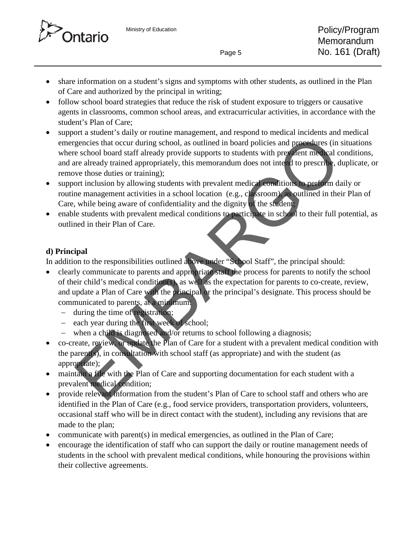

- share information on a student's signs and symptoms with other students, as outlined in the Plan of Care and authorized by the principal in writing;
- follow school board strategies that reduce the risk of student exposure to triggers or causative agents in classrooms, common school areas, and extracurricular activities, in accordance with the student's Plan of Care;
- support a student's daily or routine management, and respond to medical incidents and medical emergencies that occur during school, as outlined in board policies and procedures (in situations where school board staff already provide supports to students with prevalent medical conditions, and are already trained appropriately, this memorandum does not intend to prescribe, duplicate, or remove those duties or training); or a state of such any of ordinary counter and approximate and interesting<br>the detection of a such that any order of the section of a such that is a section of the section board staff already provide supports to students w
- support inclusion by allowing students with prevalent medical conditions to perform daily or routine management activities in a school location (e.g., classroom), as outlined in their Plan of Care, while being aware of confidentiality and the dignity of the student;
- enable students with prevalent medical conditions to participate in school to their full potential, as outlined in their Plan of Care.

# **d) Principal**

In addition to the responsibilities outlined above under "School Staff", the principal should:

- clearly communicate to parents and appropriate staff the process for parents to notify the school of their child's medical condition(s), as well as the expectation for parents to co-create, review, and update a Plan of Care with the principal or the principal's designate. This process should be communicated to parents, at a minimum:
	- − during the time of registration;
	- − each year during the first week of school;
	- − when a child is diagnosed and/or returns to school following a diagnosis;
- co-create, review, or update the Plan of Care for a student with a prevalent medical condition with the parent(s), in consultation with school staff (as appropriate) and with the student (as appropriate);
- maintain a file with the Plan of Care and supporting documentation for each student with a prevalent medical condition;
- provide relevant information from the student's Plan of Care to school staff and others who are identified in the Plan of Care (e.g., food service providers, transportation providers, volunteers, occasional staff who will be in direct contact with the student), including any revisions that are made to the plan;
- communicate with parent(s) in medical emergencies, as outlined in the Plan of Care;
- encourage the identification of staff who can support the daily or routine management needs of students in the school with prevalent medical conditions, while honouring the provisions within their collective agreements.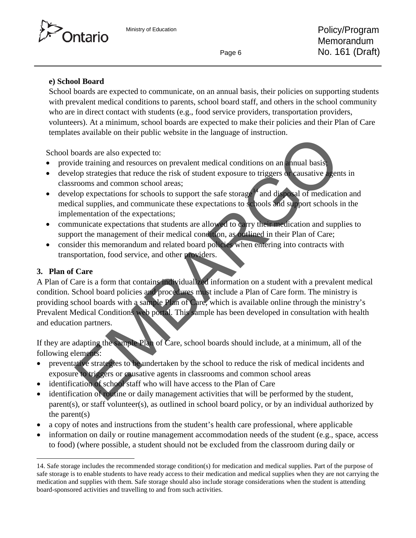

#### **e) School Board**

School boards are expected to communicate, on an annual basis, their policies on supporting students with prevalent medical conditions to parents, school board staff, and others in the school community who are in direct contact with students (e.g., food service providers, transportation providers, volunteers). At a minimum, school boards are expected to make their policies and their Plan of Care templates available on their public website in the language of instruction.

School boards are also expected to:

- provide training and resources on prevalent medical conditions on an annual basis;
- develop strategies that reduce the risk of student exposure to triggers or causative agents in classrooms and common school areas;
- develop expectations for schools to support the safe storage<sup>14</sup> and disposal of medication and medical supplies, and communicate these expectations to schools and support schools in the implementation of the expectations;
- communicate expectations that students are allowed to carry their medication and supplies to support the management of their medical condition, as outlined in their Plan of Care;
- consider this memorandum and related board policies when entering into contracts with transportation, food service, and other providers.

#### **3. Plan of Care**

A Plan of Care is a form that contains individualized information on a student with a prevalent medical condition. School board policies and procedures must include a Plan of Care form. The ministry is providing school boards with a sample Plan of Care, which is available online through the ministry's Prevalent Medical Conditions web portal. This sample has been developed in consultation with health and education partners. Solution and results of the studies of the studies of the studies of the studies training and resources on prevalent medical conditions on an annual basis<br>to postrategies that reduce the risk of student exposure to trigger

If they are adapting the sample Plan of Care, school boards should include, at a minimum, all of the following elements:

- preventative strategies to be undertaken by the school to reduce the risk of medical incidents and exposure to triggers or causative agents in classrooms and common school areas
- identification of school staff who will have access to the Plan of Care
- identification of routine or daily management activities that will be performed by the student, parent(s), or staff volunteer(s), as outlined in school board policy, or by an individual authorized by the parent(s)
- a copy of notes and instructions from the student's health care professional, where applicable
- information on daily or routine management accommodation needs of the student (e.g., space, access to food) (where possible, a student should not be excluded from the classroom during daily or

<span id="page-5-0"></span><sup>14.</sup> Safe storage includes the recommended storage condition(s) for medication and medical supplies. Part of the purpose of safe storage is to enable students to have ready access to their medication and medical supplies when they are not carrying the medication and supplies with them. Safe storage should also include storage considerations when the student is attending board-sponsored activities and travelling to and from such activities.  $\ddot{\phantom{a}}$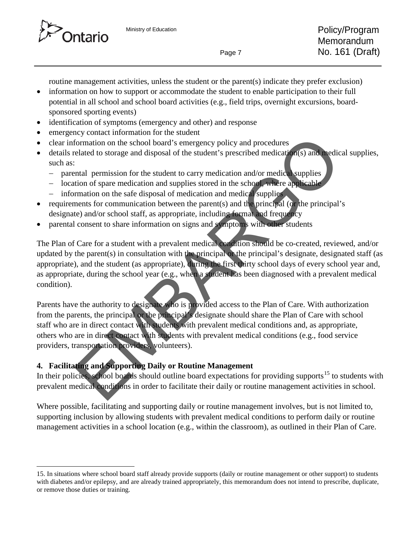

 $\overline{a}$ 

routine management activities, unless the student or the parent(s) indicate they prefer exclusion)

- information on how to support or accommodate the student to enable participation to their full potential in all school and school board activities (e.g., field trips, overnight excursions, boardsponsored sporting events)
- identification of symptoms (emergency and other) and response
- emergency contact information for the student
- clear information on the school board's emergency policy and procedures
- details related to storage and disposal of the student's prescribed medication(s) and medical supplies, such as:
	- − parental permission for the student to carry medication and/or medical supplies
	- − location of spare medication and supplies stored in the school, where applicable
	- information on the safe disposal of medication and medical supplies
- requirements for communication between the parent(s) and the principal (or the principal's designate) and/or school staff, as appropriate, including format and frequency
- parental consent to share information on signs and symptoms with other students

The Plan of Care for a student with a prevalent medical condition should be co-created, reviewed, and/or updated by the parent(s) in consultation with the principal or the principal's designate, designated staff (as appropriate), and the student (as appropriate), during the first thirty school days of every school year and, as appropriate, during the school year (e.g., when a student has been diagnosed with a prevalent medical condition).

Parents have the authority to designate who is provided access to the Plan of Care. With authorization from the parents, the principal or the principal's designate should share the Plan of Care with school staff who are in direct contact with students with prevalent medical conditions and, as appropriate, others who are in direct contact with students with prevalent medical conditions (e.g., food service providers, transportation providers, volunteers). Expondition the school boards senere the student medical conditions and senere the school board's emergency policy and procedures<br>elated to storage and disposal of the student's prescribed medical supplies<br>elated to storag

# **4. Facilitating and Supporting Daily or Routine Management**

In their policies, school boards should outline board expectations for providing supports<sup>15</sup> to students with prevalent medical conditions in order to facilitate their daily or routine management activities in school.

Where possible, facilitating and supporting daily or routine management involves, but is not limited to, supporting inclusion by allowing students with prevalent medical conditions to perform daily or routine management activities in a school location (e.g., within the classroom), as outlined in their Plan of Care.

<span id="page-6-0"></span><sup>15.</sup> In situations where school board staff already provide supports (daily or routine management or other support) to students with diabetes and/or epilepsy, and are already trained appropriately, this memorandum does not intend to prescribe, duplicate, or remove those duties or training.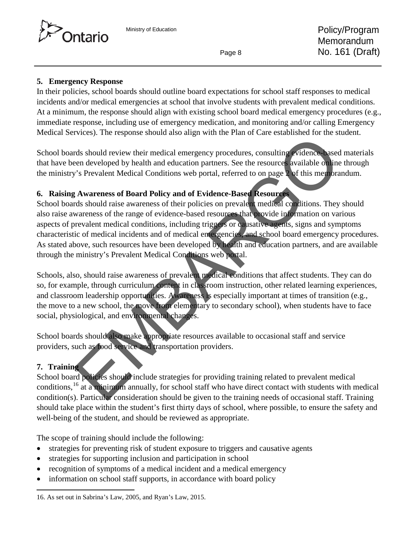

#### **5. Emergency Response**

In their policies, school boards should outline board expectations for school staff responses to medical incidents and/or medical emergencies at school that involve students with prevalent medical conditions. At a minimum, the response should align with existing school board medical emergency procedures (e.g., immediate response, including use of emergency medication, and monitoring and/or calling Emergency Medical Services). The response should also align with the Plan of Care established for the student.

School boards should review their medical emergency procedures, consulting evidence-based materials that have been developed by health and education partners. See the resources available online through the ministry's Prevalent Medical Conditions web portal, referred to on page 2 of this memorandum.

#### **6. Raising Awareness of Board Policy and of Evidence-Based Resources**

School boards should raise awareness of their policies on prevalent medical conditions. They should also raise awareness of the range of evidence-based resources that provide information on various aspects of prevalent medical conditions, including triggers or causative agents, signs and symptoms characteristic of medical incidents and of medical emergencies, and school board emergency procedures. As stated above, such resources have been developed by health and education partners, and are available through the ministry's Prevalent Medical Conditions web portal. rices). The response should also angle with the Fram of each established for the should review their medical emergency procedures, consulting vidence asset<br>of should review their medical conditions web portal, referred to

Schools, also, should raise awareness of prevalent medical conditions that affect students. They can do so, for example, through curriculum content in classroom instruction, other related learning experiences, and classroom leadership opportunities. Awareness is especially important at times of transition (e.g., the move to a new school, the move from elementary to secondary school), when students have to face social, physiological, and environmental changes.

School boards should also make appropriate resources available to occasional staff and service providers, such as food service and transportation providers.

#### **7. Training**

 $\ddot{\phantom{a}}$ 

School board policies should include strategies for providing training related to prevalent medical conditions,<sup>16</sup> at a minimum annually, for school staff who have direct contact with students with medical condition(s). Particular consideration should be given to the training needs of occasional staff. Training should take place within the student's first thirty days of school, where possible, to ensure the safety and well-being of the student, and should be reviewed as appropriate.

The scope of training should include the following:

- strategies for preventing risk of student exposure to triggers and causative agents
- strategies for supporting inclusion and participation in school
- recognition of symptoms of a medical incident and a medical emergency
- information on school staff supports, in accordance with board policy

<span id="page-7-0"></span><sup>16.</sup> As set out in Sabrina's Law, 2005, and Ryan's Law, 2015.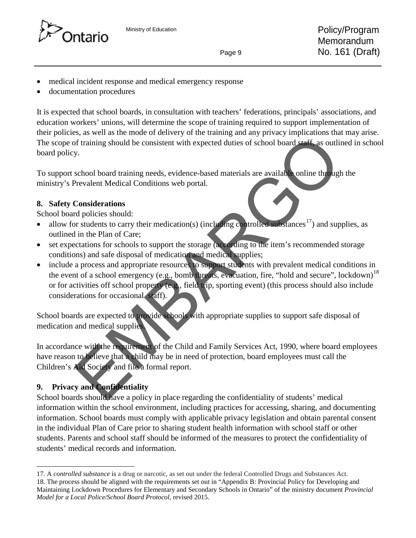

- 
- medical incident response and medical emergency response
- documentation procedures

It is expected that school boards, in consultation with teachers' federations, principals' associations, and education workers' unions, will determine the scope of training required to support implementation of their policies, as well as the mode of delivery of the training and any privacy implications that may arise. The scope of training should be consistent with expected duties of school board staff, as outlined in school board policy.

To support school board training needs, evidence-based materials are available online through the ministry's Prevalent Medical Conditions web portal.

# **8. Safety Considerations**

School board policies should:

- allow for students to carry their medication(s) (including controlled substances<sup>17</sup>) and supplies, as outlined in the Plan of Care;
- set expectations for schools to support the storage (according to the item's recommended storage conditions) and safe disposal of medication and medical supplies;
- include a process and appropriate resources to support students with prevalent medical conditions in the event of a school emergency (e.g., bomb threats, evacuation, fire, "hold and secure", lockdown)<sup>[18](#page-8-1)</sup> or for activities off school property (e.g., field trip, sporting event) (this process should also include considerations for occasional staff). State with the requirement of the Child and Family Services Act, 1990, where board to defere that whild may be in need of protection, board employes must call the south of training should be consistent with expected duties

School boards are expected to provide schools with appropriate supplies to support safe disposal of medication and medical supplies.

In accordance with the requirement of the Child and Family Services Act, 1990*,* where board employees have reason to believe that a child may be in need of protection, board employees must call the Children's Aid Society and file a formal report.

# **9. Privacy and Confidentiality**

 $\overline{a}$ 

School boards should have a policy in place regarding the confidentiality of students' medical information within the school environment, including practices for accessing, sharing, and documenting information. School boards must comply with applicable privacy legislation and obtain parental consent in the individual Plan of Care prior to sharing student health information with school staff or other students. Parents and school staff should be informed of the measures to protect the confidentiality of students' medical records and information.

<span id="page-8-1"></span><span id="page-8-0"></span><sup>17.</sup> A *controlled substance* is a drug or narcotic, as set out under the federal Controlled Drugs and Substances Act. 18. The process should be aligned with the requirements set out in "Appendix B: Provincial Policy for Developing and Maintaining Lockdown Procedures for Elementary and Secondary Schools in Ontario" of the ministry document *Provincial Model for a Local Police/School Board Protocol*, revised 2015.